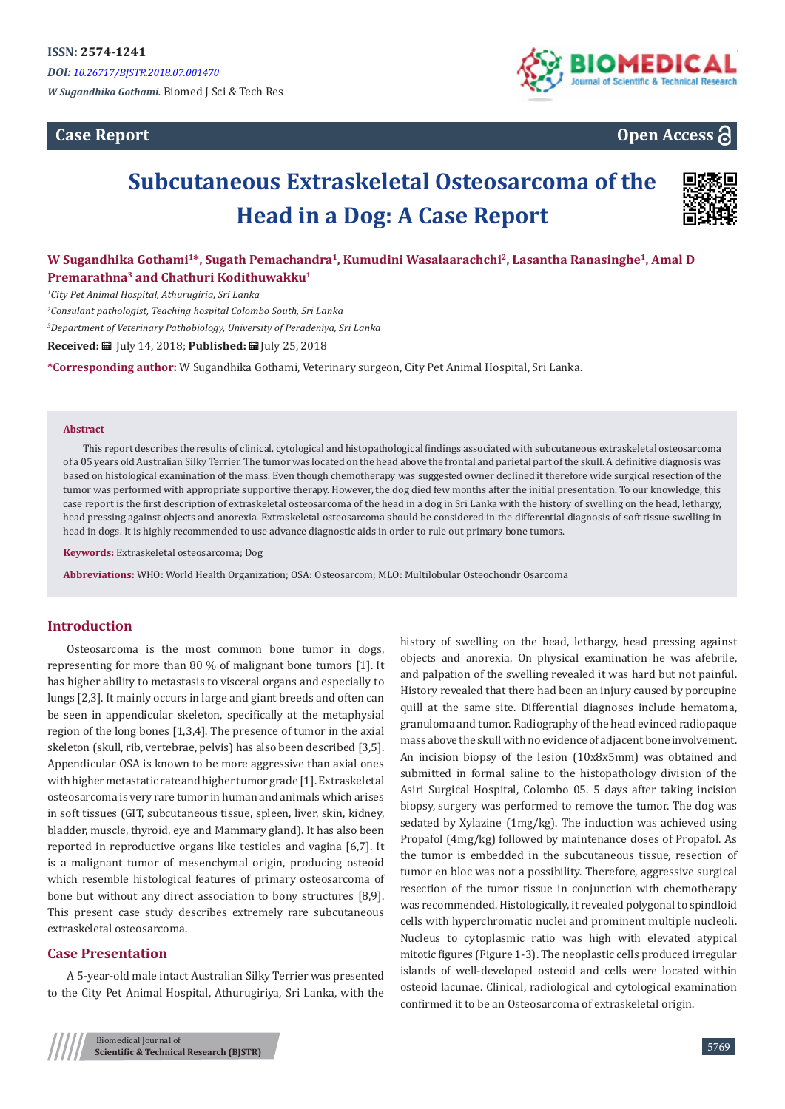## **Case Report**



# **Open Access**

# **Subcutaneous Extraskeletal Osteosarcoma of the Head in a Dog: A Case Report**



## **W Sugandhika Gothami<sup>1</sup>\*, Sugath Pemachandra<sup>1</sup>, Kumudini Wasalaarachchi<sup>2</sup>, Lasantha Ranasinghe<sup>1</sup>, Amal D Premarathna<sup>3</sup> and Chathuri Kodithuwakku<sup>1</sup>**

*1 City Pet Animal Hospital, Athurugiria, Sri Lanka*

*2 Consulant pathologist, Teaching hospital Colombo South, Sri Lanka*

*3 Department of Veterinary Pathobiology, University of Peradeniya, Sri Lanka*

**Received:** July 14, 2018; **Published:** July 25, 2018

**\*Corresponding author:** W Sugandhika Gothami, Veterinary surgeon, City Pet Animal Hospital, Sri Lanka.

#### **Abstract**

This report describes the results of clinical, cytological and histopathological findings associated with subcutaneous extraskeletal osteosarcoma of a 05 years old Australian Silky Terrier. The tumor was located on the head above the frontal and parietal part of the skull. A definitive diagnosis was based on histological examination of the mass. Even though chemotherapy was suggested owner declined it therefore wide surgical resection of the tumor was performed with appropriate supportive therapy. However, the dog died few months after the initial presentation. To our knowledge, this case report is the first description of extraskeletal osteosarcoma of the head in a dog in Sri Lanka with the history of swelling on the head, lethargy, head pressing against objects and anorexia. Extraskeletal osteosarcoma should be considered in the differential diagnosis of soft tissue swelling in head in dogs. It is highly recommended to use advance diagnostic aids in order to rule out primary bone tumors.

**Keywords:** Extraskeletal osteosarcoma; Dog

**Abbreviations:** WHO: World Health Organization; OSA: Osteosarcom; MLO: Multilobular Osteochondr Osarcoma

#### **Introduction**

Osteosarcoma is the most common bone tumor in dogs, representing for more than 80 % of malignant bone tumors [1]. It has higher ability to metastasis to visceral organs and especially to lungs [2,3]. It mainly occurs in large and giant breeds and often can be seen in appendicular skeleton, specifically at the metaphysial region of the long bones [1,3,4]. The presence of tumor in the axial skeleton (skull, rib, vertebrae, pelvis) has also been described [3,5]. Appendicular OSA is known to be more aggressive than axial ones with higher metastatic rate and higher tumor grade [1]. Extraskeletal osteosarcoma is very rare tumor in human and animals which arises in soft tissues (GIT, subcutaneous tissue, spleen, liver, skin, kidney, bladder, muscle, thyroid, eye and Mammary gland). It has also been reported in reproductive organs like testicles and vagina [6,7]. It is a malignant tumor of mesenchymal origin, producing osteoid which resemble histological features of primary osteosarcoma of bone but without any direct association to bony structures [8,9]. This present case study describes extremely rare subcutaneous extraskeletal osteosarcoma.

#### **Case Presentation**

A 5-year-old male intact Australian Silky Terrier was presented to the City Pet Animal Hospital, Athurugiriya, Sri Lanka, with the history of swelling on the head, lethargy, head pressing against objects and anorexia. On physical examination he was afebrile, and palpation of the swelling revealed it was hard but not painful. History revealed that there had been an injury caused by porcupine quill at the same site. Differential diagnoses include hematoma, granuloma and tumor. Radiography of the head evinced radiopaque mass above the skull with no evidence of adjacent bone involvement. An incision biopsy of the lesion (10x8x5mm) was obtained and submitted in formal saline to the histopathology division of the Asiri Surgical Hospital, Colombo 05. 5 days after taking incision biopsy, surgery was performed to remove the tumor. The dog was sedated by Xylazine (1mg/kg). The induction was achieved using Propafol (4mg/kg) followed by maintenance doses of Propafol. As the tumor is embedded in the subcutaneous tissue, resection of tumor en bloc was not a possibility. Therefore, aggressive surgical resection of the tumor tissue in conjunction with chemotherapy was recommended. Histologically, it revealed polygonal to spindloid cells with hyperchromatic nuclei and prominent multiple nucleoli. Nucleus to cytoplasmic ratio was high with elevated atypical mitotic figures (Figure 1-3). The neoplastic cells produced irregular islands of well-developed osteoid and cells were located within osteoid lacunae. Clinical, radiological and cytological examination confirmed it to be an Osteosarcoma of extraskeletal origin.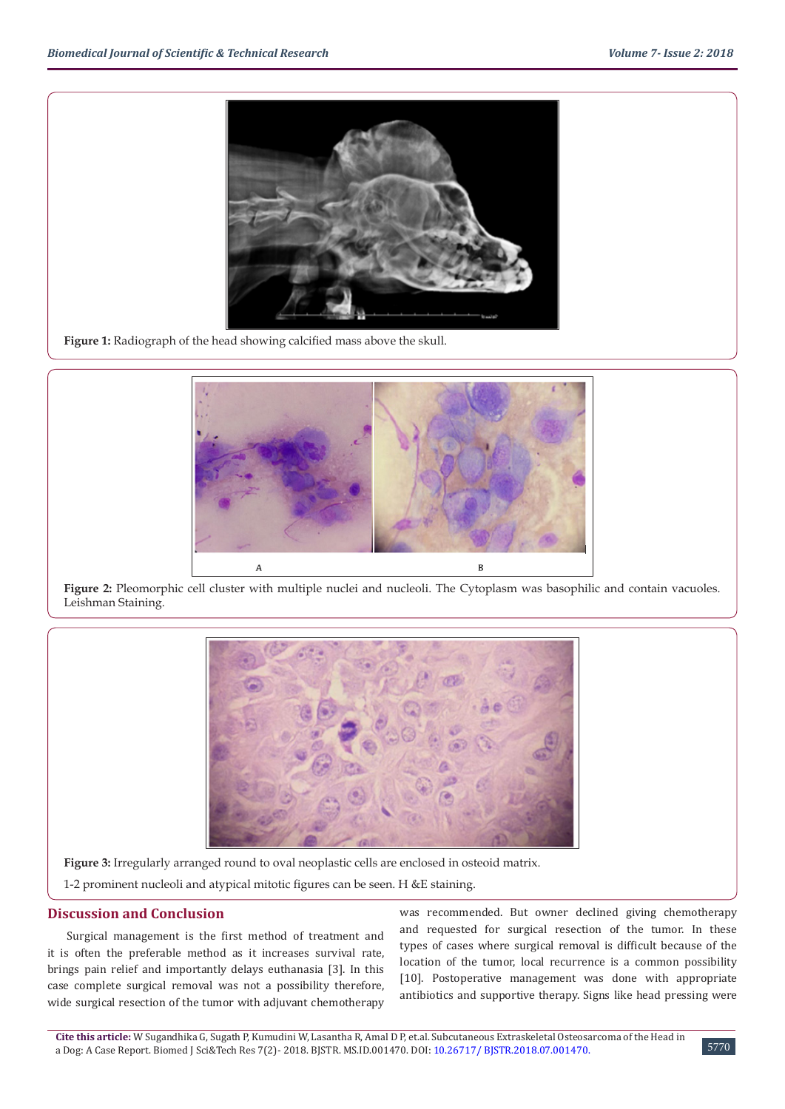

**Figure 1:** Radiograph of the head showing calcified mass above the skull.



Figure 2: Pleomorphic cell cluster with multiple nuclei and nucleoli. The Cytoplasm was basophilic and contain vacuoles. Leishman Staining.



**Figure 3:** Irregularly arranged round to oval neoplastic cells are enclosed in osteoid matrix.

1-2 prominent nucleoli and atypical mitotic figures can be seen. H &E staining.

#### **Discussion and Conclusion**

Surgical management is the first method of treatment and it is often the preferable method as it increases survival rate, brings pain relief and importantly delays euthanasia [3]. In this case complete surgical removal was not a possibility therefore, wide surgical resection of the tumor with adjuvant chemotherapy

was recommended. But owner declined giving chemotherapy and requested for surgical resection of the tumor. In these types of cases where surgical removal is difficult because of the location of the tumor, local recurrence is a common possibility [10]. Postoperative management was done with appropriate antibiotics and supportive therapy. Signs like head pressing were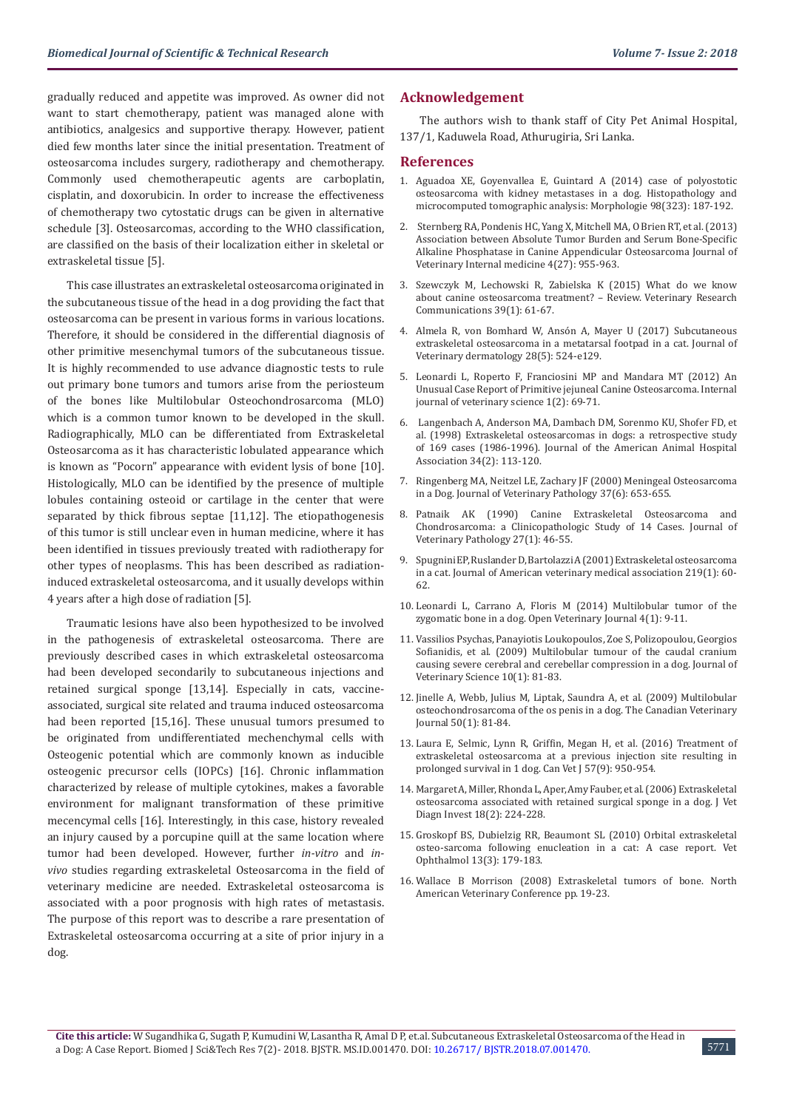gradually reduced and appetite was improved. As owner did not want to start chemotherapy, patient was managed alone with antibiotics, analgesics and supportive therapy. However, patient died few months later since the initial presentation. Treatment of osteosarcoma includes surgery, radiotherapy and chemotherapy. Commonly used chemotherapeutic agents are carboplatin, cisplatin, and doxorubicin. In order to increase the effectiveness of chemotherapy two cytostatic drugs can be given in alternative schedule [3]. Osteosarcomas, according to the WHO classification, are classified on the basis of their localization either in skeletal or extraskeletal tissue [5].

This case illustrates an extraskeletal osteosarcoma originated in the subcutaneous tissue of the head in a dog providing the fact that osteosarcoma can be present in various forms in various locations. Therefore, it should be considered in the differential diagnosis of other primitive mesenchymal tumors of the subcutaneous tissue. It is highly recommended to use advance diagnostic tests to rule out primary bone tumors and tumors arise from the periosteum of the bones like Multilobular Osteochondrosarcoma (MLO) which is a common tumor known to be developed in the skull. Radiographically, MLO can be differentiated from Extraskeletal Osteosarcoma as it has characteristic lobulated appearance which is known as "Pocorn" appearance with evident lysis of bone [10]. Histologically, MLO can be identified by the presence of multiple lobules containing osteoid or cartilage in the center that were separated by thick fibrous septae [11,12]. The etiopathogenesis of this tumor is still unclear even in human medicine, where it has been identified in tissues previously treated with radiotherapy for other types of neoplasms. This has been described as radiationinduced extraskeletal osteosarcoma, and it usually develops within 4 years after a high dose of radiation [5].

Traumatic lesions have also been hypothesized to be involved in the pathogenesis of extraskeletal osteosarcoma. There are previously described cases in which extraskeletal osteosarcoma had been developed secondarily to subcutaneous injections and retained surgical sponge [13,14]. Especially in cats, vaccineassociated, surgical site related and trauma induced osteosarcoma had been reported [15,16]. These unusual tumors presumed to be originated from undifferentiated mechenchymal cells with Osteogenic potential which are commonly known as inducible osteogenic precursor cells (IOPCs) [16]. Chronic inflammation characterized by release of multiple cytokines, makes a favorable environment for malignant transformation of these primitive mecencymal cells [16]. Interestingly, in this case, history revealed an injury caused by a porcupine quill at the same location where tumor had been developed. However, further *in-vitro* and *invivo* studies regarding extraskeletal Osteosarcoma in the field of veterinary medicine are needed. Extraskeletal osteosarcoma is associated with a poor prognosis with high rates of metastasis. The purpose of this report was to describe a rare presentation of Extraskeletal osteosarcoma occurring at a site of prior injury in a dog.

#### **Acknowledgement**

The authors wish to thank staff of City Pet Animal Hospital, 137/1, Kaduwela Road, Athurugiria, Sri Lanka.

#### **References**

- 1. [Aguadoa XE, Goyenvallea E, Guintard A \(2014\) case of polyostotic](https://www.ncbi.nlm.nih.gov/pubmed/24993506) [osteosarcoma with kidney metastases in a dog. Histopathology and](https://www.ncbi.nlm.nih.gov/pubmed/24993506) [microcomputed tomographic analysis: Morphologie 98\(323\): 187-192.](https://www.ncbi.nlm.nih.gov/pubmed/24993506)
- 2. [Sternberg RA, Pondenis HC, Yang X, Mitchell MA, O Brien RT, et al. \(2013\)](https://www.ncbi.nlm.nih.gov/pubmed/23734720) [Association between Absolute Tumor Burden and Serum Bone-Specific](https://www.ncbi.nlm.nih.gov/pubmed/23734720) [Alkaline Phosphatase in Canine Appendicular Osteosarcoma Journal of](https://www.ncbi.nlm.nih.gov/pubmed/23734720) [Veterinary Internal medicine 4\(27\): 955-963.](https://www.ncbi.nlm.nih.gov/pubmed/23734720)
- 3. [Szewczyk M, Lechowski R, Zabielska K \(2015\) What do we know](https://www.ncbi.nlm.nih.gov/pmc/articles/PMC4330401/) [about canine osteosarcoma treatment? – Review. Veterinary Research](https://www.ncbi.nlm.nih.gov/pmc/articles/PMC4330401/) [Communications 39\(1\): 61-67.](https://www.ncbi.nlm.nih.gov/pmc/articles/PMC4330401/)
- 4. [Almela R, von Bomhard W, Ansón A, Mayer U \(2017\) Subcutaneous](https://www.ncbi.nlm.nih.gov/pubmed/28627100) [extraskeletal osteosarcoma in a metatarsal footpad in a cat. Journal of](https://www.ncbi.nlm.nih.gov/pubmed/28627100) [Veterinary dermatology 28\(5\): 524-e129.](https://www.ncbi.nlm.nih.gov/pubmed/28627100)
- 5. [Leonardi L, Roperto F, Franciosini MP and Mandara MT \(2012\) An](https://www.ncbi.nlm.nih.gov/pmc/articles/PMC4629594/) [Unusual Case Report of Primitive jejuneal Canine Osteosarcoma. Internal](https://www.ncbi.nlm.nih.gov/pmc/articles/PMC4629594/) [journal of veterinary science 1\(2\): 69-71.](https://www.ncbi.nlm.nih.gov/pmc/articles/PMC4629594/)
- 6. [Langenbach A, Anderson MA, Dambach DM, Sorenmo KU, Shofer FD, et](https://www.ncbi.nlm.nih.gov/pubmed/9507423) [al. \(1998\) Extraskeletal osteosarcomas in dogs: a retrospective study](https://www.ncbi.nlm.nih.gov/pubmed/9507423) [of 169 cases \(1986-1996\). Journal of the American Animal Hospital](https://www.ncbi.nlm.nih.gov/pubmed/9507423) [Association 34\(2\): 113-120.](https://www.ncbi.nlm.nih.gov/pubmed/9507423)
- 7. [Ringenberg MA, Neitzel LE, Zachary JF \(2000\) Meningeal Osteosarcoma](https://www.ncbi.nlm.nih.gov/pubmed/11105956) [in a Dog. Journal of Veterinary Pathology 37\(6\): 653-655.](https://www.ncbi.nlm.nih.gov/pubmed/11105956)
- 8. [Patnaik AK \(1990\) Canine Extraskeletal Osteosarcoma and](https://www.ncbi.nlm.nih.gov/pubmed/2309381) [Chondrosarcoma: a Clinicopathologic Study of 14 Cases. Journal of](https://www.ncbi.nlm.nih.gov/pubmed/2309381) [Veterinary Pathology 27\(1\): 46-55.](https://www.ncbi.nlm.nih.gov/pubmed/2309381)
- 9. [Spugnini EP, Ruslander D, Bartolazzi A \(2001\) Extraskeletal osteosarcoma](https://www.ncbi.nlm.nih.gov/pubmed/11439771) [in a cat. Journal of American veterinary medical association 219\(1\): 60-](https://www.ncbi.nlm.nih.gov/pubmed/11439771) [62.](https://www.ncbi.nlm.nih.gov/pubmed/11439771)
- 10. [Leonardi L, Carrano A, Floris M \(2014\) Multilobular tumor of the](https://www.ncbi.nlm.nih.gov/pmc/articles/PMC4629595/) [zygomatic bone in a dog. Open Veterinary Journal 4\(1\): 9-11.](https://www.ncbi.nlm.nih.gov/pmc/articles/PMC4629595/)
- 11. [Vassilios Psychas, Panayiotis Loukopoulos, Zoe S, Polizopoulou, Georgios](https://www.ncbi.nlm.nih.gov/pubmed/19255529) [Sofianidis, et al. \(2009\) Multilobular tumour of the caudal cranium](https://www.ncbi.nlm.nih.gov/pubmed/19255529) [causing severe cerebral and cerebellar compression in a dog. Journal of](https://www.ncbi.nlm.nih.gov/pubmed/19255529) [Veterinary Science 10\(1\): 81-83.](https://www.ncbi.nlm.nih.gov/pubmed/19255529)
- 12. [Jinelle A, Webb, Julius M, Liptak, Saundra A, et al. \(2009\) Multilobular](https://www.ncbi.nlm.nih.gov/pmc/articles/PMC2603659/) [osteochondrosarcoma of the os penis in a dog. The Canadian Veterinary](https://www.ncbi.nlm.nih.gov/pmc/articles/PMC2603659/) [Journal 50\(1\): 81-84.](https://www.ncbi.nlm.nih.gov/pmc/articles/PMC2603659/)
- 13. [Laura E, Selmic, Lynn R, Griffin, Megan H, et al. \(2016\) Treatment of](https://www.ncbi.nlm.nih.gov/pubmed/27587886) [extraskeletal osteosarcoma at a previous injection site resulting in](https://www.ncbi.nlm.nih.gov/pubmed/27587886) [prolonged survival in 1 dog. Can Vet J 57\(9\): 950-954.](https://www.ncbi.nlm.nih.gov/pubmed/27587886)
- 14. [Margaret A, Miller, Rhonda L, Aper, Amy Fauber, et al. \(2006\) Extraskeletal](https://www.ncbi.nlm.nih.gov/pubmed/16617710) [osteosarcoma associated with retained surgical sponge in a dog. J Vet](https://www.ncbi.nlm.nih.gov/pubmed/16617710) [Diagn Invest 18\(2\): 224-228.](https://www.ncbi.nlm.nih.gov/pubmed/16617710)
- 15. [Groskopf BS, Dubielzig RR, Beaumont SL \(2010\) Orbital extraskeletal](https://www.ncbi.nlm.nih.gov/pubmed/20500718) [osteo-sarcoma following enucleation in a cat: A case report. Vet](https://www.ncbi.nlm.nih.gov/pubmed/20500718) [Ophthalmol 13\(3\): 179-183.](https://www.ncbi.nlm.nih.gov/pubmed/20500718)
- 16. Wallace B Morrison (2008) Extraskeletal tumors of bone. North American Veterinary Conference pp. 19-23.